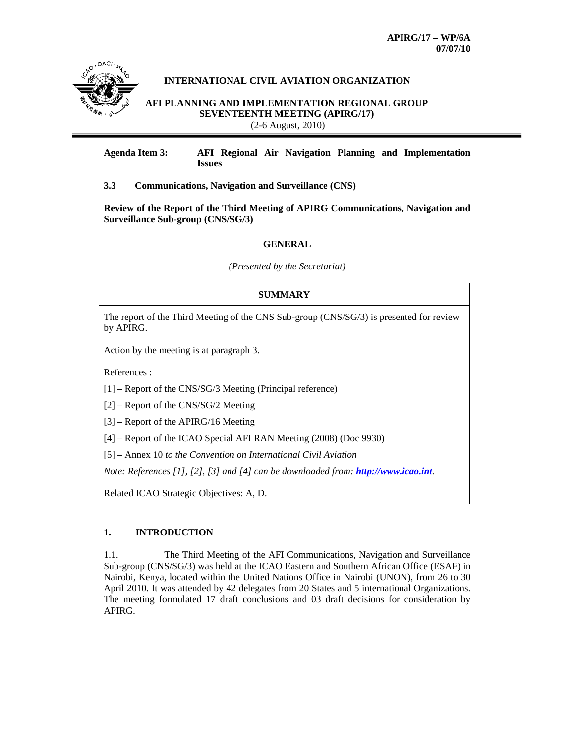

# **INTERNATIONAL CIVIL AVIATION ORGANIZATION**

**AFI PLANNING AND IMPLEMENTATION REGIONAL GROUP SEVENTEENTH MEETING (APIRG/17)** (2-6 August, 2010)

**Agenda Item 3: AFI Regional Air Navigation Planning and Implementation Issues** 

# **3.3 Communications, Navigation and Surveillance (CNS)**

**Review of the Report of the Third Meeting of APIRG Communications, Navigation and Surveillance Sub-group (CNS/SG/3)** 

### **GENERAL**

*(Presented by the Secretariat)* 

# **SUMMARY**  The report of the Third Meeting of the CNS Sub-group (CNS/SG/3) is presented for review by APIRG. Action by the meeting is at paragraph 3. References : [1] – Report of the CNS/SG/3 Meeting (Principal reference) [2] – Report of the CNS/SG/2 Meeting [3] – Report of the APIRG/16 Meeting [4] – Report of the ICAO Special AFI RAN Meeting (2008) (Doc 9930) [5] – Annex 10 *to the Convention on International Civil Aviation Note: References [1], [2], [3] and [4] can be downloaded from: http://www.icao.int.* Related ICAO Strategic Objectives: A, D.

# **1. INTRODUCTION**

1.1. The Third Meeting of the AFI Communications, Navigation and Surveillance Sub-group (CNS/SG/3) was held at the ICAO Eastern and Southern African Office (ESAF) in Nairobi, Kenya, located within the United Nations Office in Nairobi (UNON), from 26 to 30 April 2010. It was attended by 42 delegates from 20 States and 5 international Organizations. The meeting formulated 17 draft conclusions and 03 draft decisions for consideration by APIRG.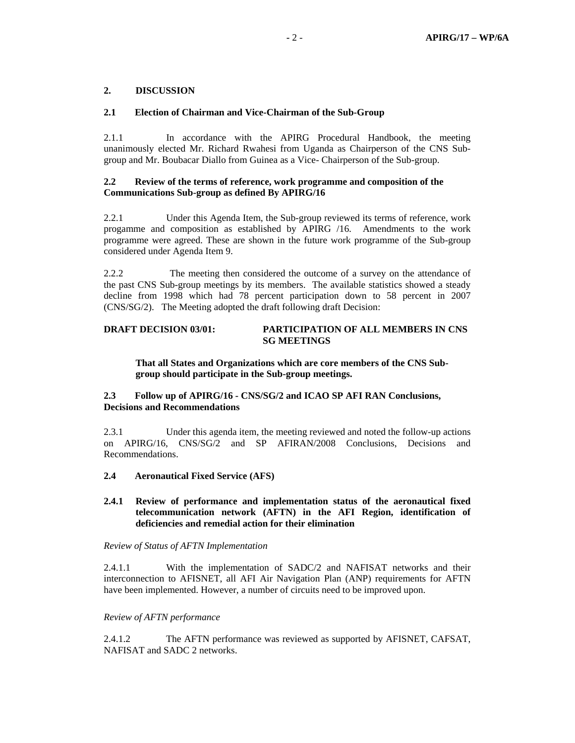# **2. DISCUSSION**

### **2.1 Election of Chairman and Vice-Chairman of the Sub-Group**

2.1.1 In accordance with the APIRG Procedural Handbook, the meeting unanimously elected Mr. Richard Rwahesi from Uganda as Chairperson of the CNS Subgroup and Mr. Boubacar Diallo from Guinea as a Vice- Chairperson of the Sub-group.

## **2.2 Review of the terms of reference, work programme and composition of the Communications Sub-group as defined By APIRG/16**

2.2.1 Under this Agenda Item, the Sub-group reviewed its terms of reference, work progamme and composition as established by APIRG /16. Amendments to the work programme were agreed. These are shown in the future work programme of the Sub-group considered under Agenda Item 9.

2.2.2 The meeting then considered the outcome of a survey on the attendance of the past CNS Sub-group meetings by its members. The available statistics showed a steady decline from 1998 which had 78 percent participation down to 58 percent in 2007 (CNS/SG/2). The Meeting adopted the draft following draft Decision:

# **DRAFT DECISION 03/01: PARTICIPATION OF ALL MEMBERS IN CNS SG MEETINGS**

**That all States and Organizations which are core members of the CNS Subgroup should participate in the Sub-group meetings.** 

# **2.3 Follow up of APIRG/16 - CNS/SG/2 and ICAO SP AFI RAN Conclusions, Decisions and Recommendations**

2.3.1 Under this agenda item, the meeting reviewed and noted the follow-up actions on APIRG/16, CNS/SG/2 and SP AFIRAN/2008 Conclusions, Decisions and Recommendations.

### **2.4 Aeronautical Fixed Service (AFS)**

### **2.4.1 Review of performance and implementation status of the aeronautical fixed telecommunication network (AFTN) in the AFI Region, identification of deficiencies and remedial action for their elimination**

### *Review of Status of AFTN Implementation*

2.4.1.1 With the implementation of SADC/2 and NAFISAT networks and their interconnection to AFISNET, all AFI Air Navigation Plan (ANP) requirements for AFTN have been implemented. However, a number of circuits need to be improved upon.

### *Review of AFTN performance*

2.4.1.2 The AFTN performance was reviewed as supported by AFISNET, CAFSAT, NAFISAT and SADC 2 networks.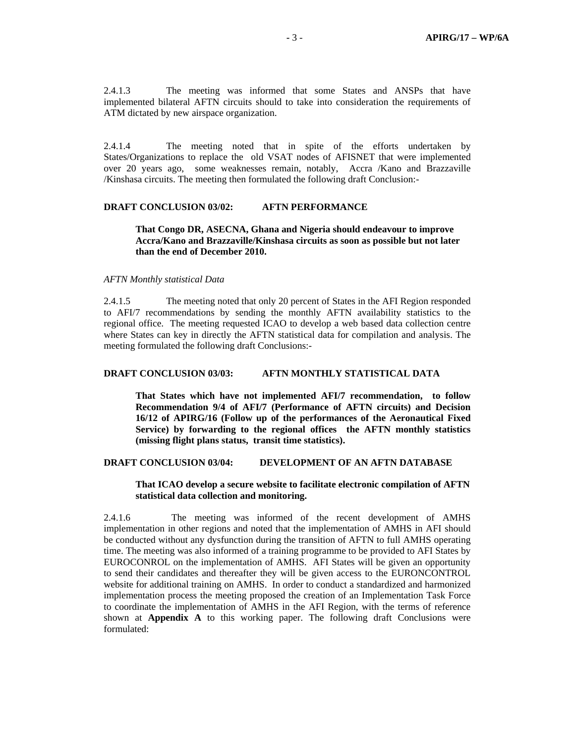2.4.1.3 The meeting was informed that some States and ANSPs that have implemented bilateral AFTN circuits should to take into consideration the requirements of ATM dictated by new airspace organization.

2.4.1.4 The meeting noted that in spite of the efforts undertaken by States/Organizations to replace the old VSAT nodes of AFISNET that were implemented over 20 years ago, some weaknesses remain, notably, Accra /Kano and Brazzaville /Kinshasa circuits. The meeting then formulated the following draft Conclusion:-

# **DRAFT CONCLUSION 03/02: AFTN PERFORMANCE**

### **That Congo DR, ASECNA, Ghana and Nigeria should endeavour to improve Accra/Kano and Brazzaville/Kinshasa circuits as soon as possible but not later than the end of December 2010.**

#### *AFTN Monthly statistical Data*

2.4.1.5 The meeting noted that only 20 percent of States in the AFI Region responded to AFI/7 recommendations by sending the monthly AFTN availability statistics to the regional office. The meeting requested ICAO to develop a web based data collection centre where States can key in directly the AFTN statistical data for compilation and analysis. The meeting formulated the following draft Conclusions:-

## **DRAFT CONCLUSION 03/03: AFTN MONTHLY STATISTICAL DATA**

 **That States which have not implemented AFI/7 recommendation, to follow Recommendation 9/4 of AFI/7 (Performance of AFTN circuits) and Decision 16/12 of APIRG/16 (Follow up of the performances of the Aeronautical Fixed Service) by forwarding to the regional offices the AFTN monthly statistics (missing flight plans status, transit time statistics).** 

### **DRAFT CONCLUSION 03/04: DEVELOPMENT OF AN AFTN DATABASE**

## **That ICAO develop a secure website to facilitate electronic compilation of AFTN statistical data collection and monitoring.**

2.4.1.6 The meeting was informed of the recent development of AMHS implementation in other regions and noted that the implementation of AMHS in AFI should be conducted without any dysfunction during the transition of AFTN to full AMHS operating time. The meeting was also informed of a training programme to be provided to AFI States by EUROCONROL on the implementation of AMHS. AFI States will be given an opportunity to send their candidates and thereafter they will be given access to the EURONCONTROL website for additional training on AMHS. In order to conduct a standardized and harmonized implementation process the meeting proposed the creation of an Implementation Task Force to coordinate the implementation of AMHS in the AFI Region, with the terms of reference shown at **Appendix A** to this working paper. The following draft Conclusions were formulated: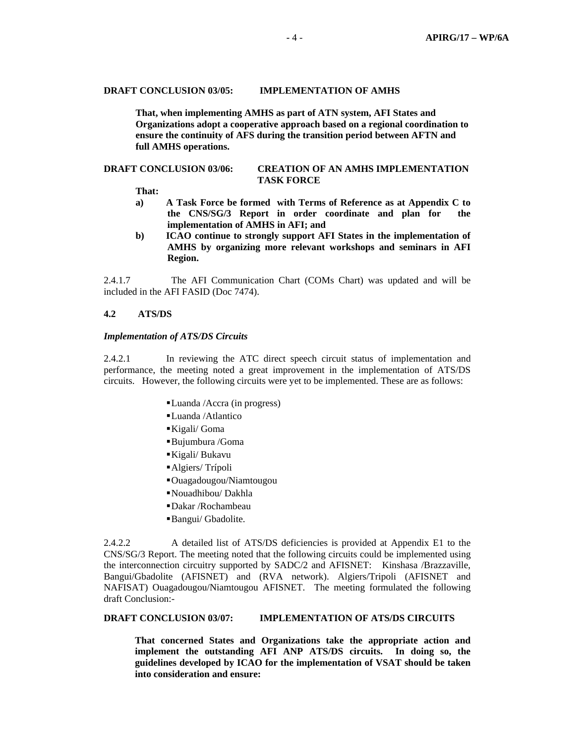### **DRAFT CONCLUSION 03/05: IMPLEMENTATION OF AMHS**

 **That, when implementing AMHS as part of ATN system, AFI States and Organizations adopt a cooperative approach based on a regional coordination to ensure the continuity of AFS during the transition period between AFTN and full AMHS operations.** 

#### **DRAFT CONCLUSION 03/06: CREATION OF AN AMHS IMPLEMENTATION TASK FORCE**

 **That:** 

- **a) A Task Force be formed with Terms of Reference as at Appendix C to the CNS/SG/3 Report in order coordinate and plan for the implementation of AMHS in AFI; and**
- **b) ICAO continue to strongly support AFI States in the implementation of AMHS by organizing more relevant workshops and seminars in AFI Region.**

2.4.1.7 The AFI Communication Chart (COMs Chart) was updated and will be included in the AFI FASID (Doc 7474).

# **4.2 ATS/DS**

### *Implementation of ATS/DS Circuits*

2.4.2.1 In reviewing the ATC direct speech circuit status of implementation and performance, the meeting noted a great improvement in the implementation of ATS/DS circuits. However, the following circuits were yet to be implemented. These are as follows:

- Luanda /Accra (in progress)
- Luanda /Atlantico
- Kigali/ Goma
- Bujumbura /Goma
- Kigali/ Bukavu
- Algiers/ Trípoli
- Ouagadougou/Niamtougou
- Nouadhibou/ Dakhla
- Dakar /Rochambeau
- Bangui/ Gbadolite.

2.4.2.2 A detailed list of ATS/DS deficiencies is provided at Appendix E1 to the CNS/SG/3 Report. The meeting noted that the following circuits could be implemented using the interconnection circuitry supported by SADC/2 and AFISNET: Kinshasa /Brazzaville, Bangui/Gbadolite (AFISNET) and (RVA network). Algiers/Tripoli (AFISNET and NAFISAT) Ouagadougou/Niamtougou AFISNET. The meeting formulated the following draft Conclusion:-

### **DRAFT CONCLUSION 03/07: IMPLEMENTATION OF ATS/DS CIRCUITS**

**That concerned States and Organizations take the appropriate action and implement the outstanding AFI ANP ATS/DS circuits. In doing so, the guidelines developed by ICAO for the implementation of VSAT should be taken into consideration and ensure:**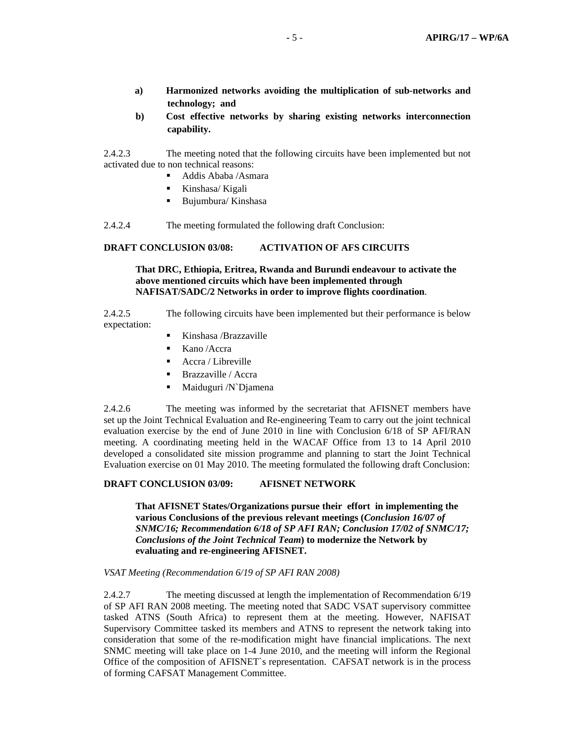- **a) Harmonized networks avoiding the multiplication of sub-networks and technology; and**
- **b) Cost effective networks by sharing existing networks interconnection capability.**

2.4.2.3 The meeting noted that the following circuits have been implemented but not activated due to non technical reasons:

- Addis Ababa /Asmara
- Kinshasa/ Kigali
- Bujumbura/ Kinshasa

2.4.2.4 The meeting formulated the following draft Conclusion:

### **DRAFT CONCLUSION 03/08: ACTIVATION OF AFS CIRCUITS**

 **That DRC, Ethiopia, Eritrea, Rwanda and Burundi endeavour to activate the above mentioned circuits which have been implemented through NAFISAT/SADC/2 Networks in order to improve flights coordination**.

2.4.2.5 The following circuits have been implemented but their performance is below expectation:

- Kinshasa /Brazzaville
- Kano /Accra
- $\blacksquare$  Accra / Libreville
- Brazzaville / Accra
- Maiduguri /N`Djamena

2.4.2.6 The meeting was informed by the secretariat that AFISNET members have set up the Joint Technical Evaluation and Re-engineering Team to carry out the joint technical evaluation exercise by the end of June 2010 in line with Conclusion 6/18 of SP AFI/RAN meeting. A coordinating meeting held in the WACAF Office from 13 to 14 April 2010 developed a consolidated site mission programme and planning to start the Joint Technical Evaluation exercise on 01 May 2010. The meeting formulated the following draft Conclusion:

### **DRAFT CONCLUSION 03/09: AFISNET NETWORK**

 **That AFISNET States/Organizations pursue their effort in implementing the various Conclusions of the previous relevant meetings (***Conclusion 16/07 of SNMC/16; Recommendation 6/18 of SP AFI RAN; Conclusion 17/02 of SNMC/17; Conclusions of the Joint Technical Team***) to modernize the Network by evaluating and re-engineering AFISNET.** 

### *VSAT Meeting (Recommendation 6/19 of SP AFI RAN 2008)*

2.4.2.7 The meeting discussed at length the implementation of Recommendation 6/19 of SP AFI RAN 2008 meeting. The meeting noted that SADC VSAT supervisory committee tasked ATNS (South Africa) to represent them at the meeting. However, NAFISAT Supervisory Committee tasked its members and ATNS to represent the network taking into consideration that some of the re-modification might have financial implications. The next SNMC meeting will take place on 1-4 June 2010, and the meeting will inform the Regional Office of the composition of AFISNET`s representation. CAFSAT network is in the process of forming CAFSAT Management Committee.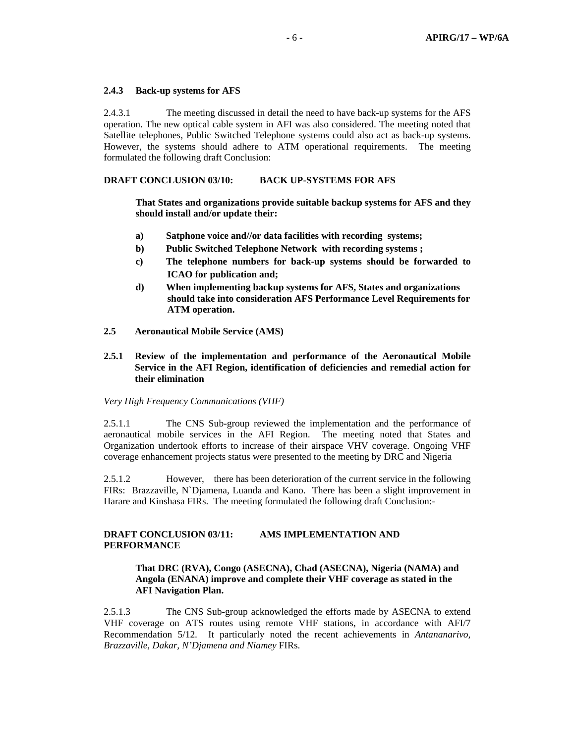### **2.4.3 Back-up systems for AFS**

2.4.3.1 The meeting discussed in detail the need to have back-up systems for the AFS operation. The new optical cable system in AFI was also considered. The meeting noted that Satellite telephones, Public Switched Telephone systems could also act as back-up systems. However, the systems should adhere to ATM operational requirements. The meeting formulated the following draft Conclusion:

# **DRAFT CONCLUSION 03/10: BACK UP-SYSTEMS FOR AFS**

 **That States and organizations provide suitable backup systems for AFS and they should install and/or update their:** 

- **a) Satphone voice and//or data facilities with recording systems;**
- **b) Public Switched Telephone Network with recording systems ;**
- **c) The telephone numbers for back-up systems should be forwarded to ICAO for publication and;**
- **d) When implementing backup systems for AFS, States and organizations should take into consideration AFS Performance Level Requirements for ATM operation.**
- **2.5 Aeronautical Mobile Service (AMS)**
- **2.5.1 Review of the implementation and performance of the Aeronautical Mobile Service in the AFI Region, identification of deficiencies and remedial action for their elimination**

### *Very High Frequency Communications (VHF)*

2.5.1.1 The CNS Sub-group reviewed the implementation and the performance of aeronautical mobile services in the AFI Region. The meeting noted that States and Organization undertook efforts to increase of their airspace VHV coverage. Ongoing VHF coverage enhancement projects status were presented to the meeting by DRC and Nigeria

2.5.1.2 However, there has been deterioration of the current service in the following FIRs: Brazzaville, N`Djamena, Luanda and Kano. There has been a slight improvement in Harare and Kinshasa FIRs. The meeting formulated the following draft Conclusion:-

# **DRAFT CONCLUSION 03/11: AMS IMPLEMENTATION AND PERFORMANCE**

# **That DRC (RVA), Congo (ASECNA), Chad (ASECNA), Nigeria (NAMA) and Angola (ENANA) improve and complete their VHF coverage as stated in the AFI Navigation Plan.**

2.5.1.3 The CNS Sub-group acknowledged the efforts made by ASECNA to extend VHF coverage on ATS routes using remote VHF stations, in accordance with AFI/7 Recommendation 5/12. It particularly noted the recent achievements in *Antananarivo, Brazzaville, Dakar, N'Djamena and Niamey* FIRs.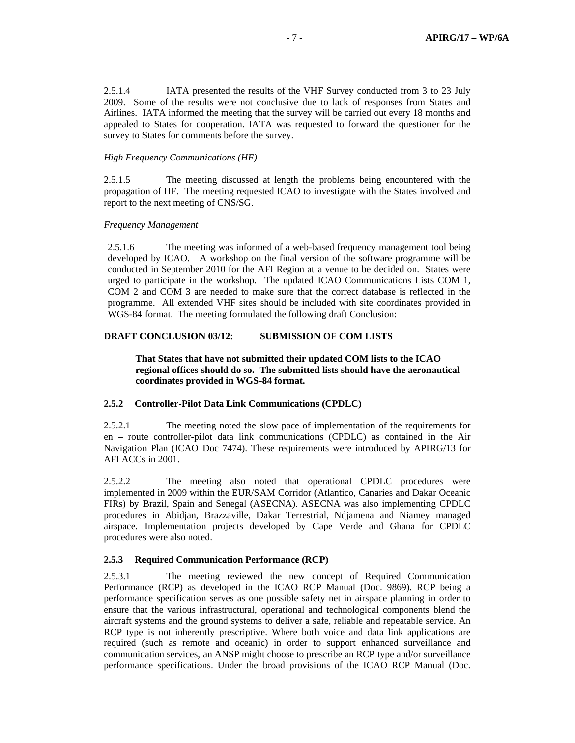2.5.1.4 IATA presented the results of the VHF Survey conducted from 3 to 23 July 2009. Some of the results were not conclusive due to lack of responses from States and Airlines. IATA informed the meeting that the survey will be carried out every 18 months and appealed to States for cooperation. IATA was requested to forward the questioner for the survey to States for comments before the survey.

### *High Frequency Communications (HF)*

2.5.1.5 The meeting discussed at length the problems being encountered with the propagation of HF. The meeting requested ICAO to investigate with the States involved and report to the next meeting of CNS/SG.

### *Frequency Management*

2.5.1.6 The meeting was informed of a web-based frequency management tool being developed by ICAO. A workshop on the final version of the software programme will be conducted in September 2010 for the AFI Region at a venue to be decided on. States were urged to participate in the workshop. The updated ICAO Communications Lists COM 1, COM 2 and COM 3 are needed to make sure that the correct database is reflected in the programme. All extended VHF sites should be included with site coordinates provided in WGS-84 format. The meeting formulated the following draft Conclusion:

### **DRAFT CONCLUSION 03/12: SUBMISSION OF COM LISTS**

## **That States that have not submitted their updated COM lists to the ICAO regional offices should do so. The submitted lists should have the aeronautical coordinates provided in WGS-84 format.**

# **2.5.2 Controller-Pilot Data Link Communications (CPDLC)**

2.5.2.1 The meeting noted the slow pace of implementation of the requirements for en – route controller-pilot data link communications (CPDLC) as contained in the Air Navigation Plan (ICAO Doc 7474). These requirements were introduced by APIRG/13 for AFI ACCs in 2001.

2.5.2.2 The meeting also noted that operational CPDLC procedures were implemented in 2009 within the EUR/SAM Corridor (Atlantico, Canaries and Dakar Oceanic FIRs) by Brazil, Spain and Senegal (ASECNA). ASECNA was also implementing CPDLC procedures in Abidjan, Brazzaville, Dakar Terrestrial, Ndjamena and Niamey managed airspace. Implementation projects developed by Cape Verde and Ghana for CPDLC procedures were also noted.

# **2.5.3 Required Communication Performance (RCP)**

2.5.3.1 The meeting reviewed the new concept of Required Communication Performance (RCP) as developed in the ICAO RCP Manual (Doc. 9869). RCP being a performance specification serves as one possible safety net in airspace planning in order to ensure that the various infrastructural, operational and technological components blend the aircraft systems and the ground systems to deliver a safe, reliable and repeatable service. An RCP type is not inherently prescriptive. Where both voice and data link applications are required (such as remote and oceanic) in order to support enhanced surveillance and communication services, an ANSP might choose to prescribe an RCP type and/or surveillance performance specifications. Under the broad provisions of the ICAO RCP Manual (Doc.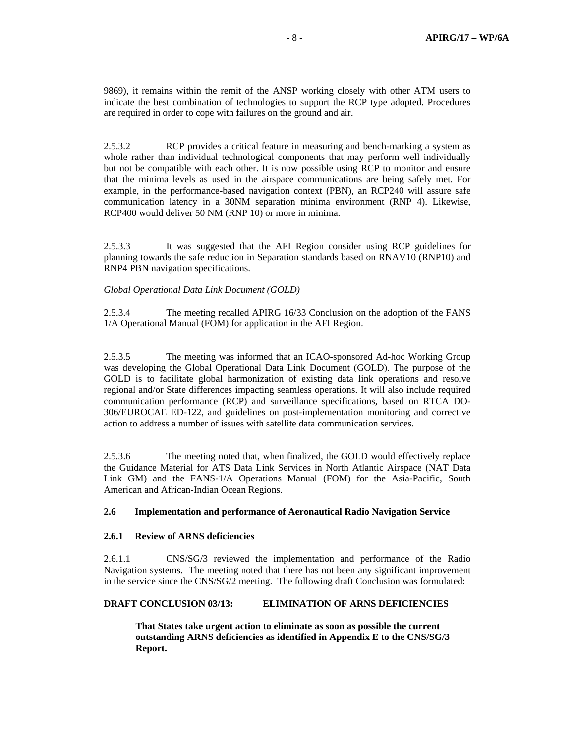9869), it remains within the remit of the ANSP working closely with other ATM users to indicate the best combination of technologies to support the RCP type adopted. Procedures are required in order to cope with failures on the ground and air.

2.5.3.2 RCP provides a critical feature in measuring and bench-marking a system as whole rather than individual technological components that may perform well individually but not be compatible with each other. It is now possible using RCP to monitor and ensure that the minima levels as used in the airspace communications are being safely met. For example, in the performance-based navigation context (PBN), an RCP240 will assure safe communication latency in a 30NM separation minima environment (RNP 4). Likewise, RCP400 would deliver 50 NM (RNP 10) or more in minima.

2.5.3.3 It was suggested that the AFI Region consider using RCP guidelines for planning towards the safe reduction in Separation standards based on RNAV10 (RNP10) and RNP4 PBN navigation specifications.

# *Global Operational Data Link Document (GOLD)*

2.5.3.4 The meeting recalled APIRG 16/33 Conclusion on the adoption of the FANS 1/A Operational Manual (FOM) for application in the AFI Region.

2.5.3.5 The meeting was informed that an ICAO-sponsored Ad-hoc Working Group was developing the Global Operational Data Link Document (GOLD). The purpose of the GOLD is to facilitate global harmonization of existing data link operations and resolve regional and/or State differences impacting seamless operations. It will also include required communication performance (RCP) and surveillance specifications, based on RTCA DO-306/EUROCAE ED-122, and guidelines on post-implementation monitoring and corrective action to address a number of issues with satellite data communication services.

2.5.3.6 The meeting noted that, when finalized, the GOLD would effectively replace the Guidance Material for ATS Data Link Services in North Atlantic Airspace (NAT Data Link GM) and the FANS-1/A Operations Manual (FOM) for the Asia-Pacific, South American and African-Indian Ocean Regions.

# **2.6 Implementation and performance of Aeronautical Radio Navigation Service**

# **2.6.1 Review of ARNS deficiencies**

2.6.1.1 CNS/SG/3 reviewed the implementation and performance of the Radio Navigation systems. The meeting noted that there has not been any significant improvement in the service since the CNS/SG/2 meeting. The following draft Conclusion was formulated:

# **DRAFT CONCLUSION 03/13: ELIMINATION OF ARNS DEFICIENCIES**

 **That States take urgent action to eliminate as soon as possible the current outstanding ARNS deficiencies as identified in Appendix E to the CNS/SG/3 Report.**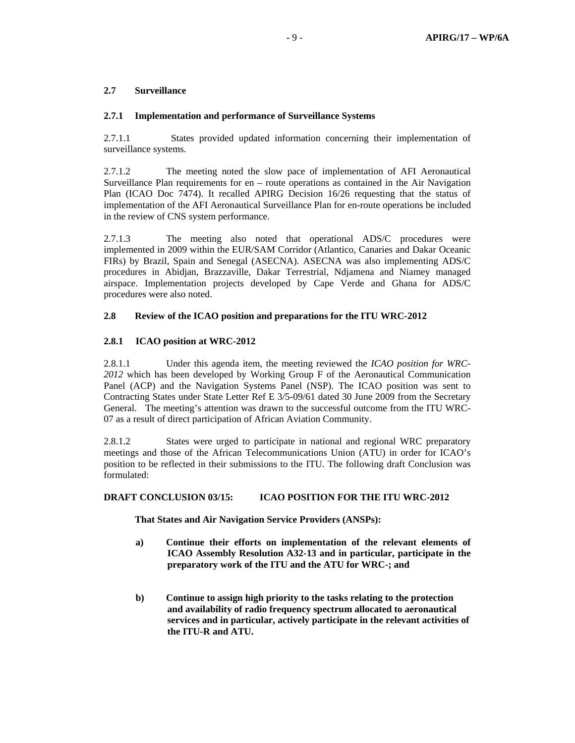# **2.7 Surveillance**

# **2.7.1 Implementation and performance of Surveillance Systems**

2.7.1.1 States provided updated information concerning their implementation of surveillance systems.

2.7.1.2 The meeting noted the slow pace of implementation of AFI Aeronautical Surveillance Plan requirements for en – route operations as contained in the Air Navigation Plan (ICAO Doc 7474). It recalled APIRG Decision 16/26 requesting that the status of implementation of the AFI Aeronautical Surveillance Plan for en-route operations be included in the review of CNS system performance.

2.7.1.3 The meeting also noted that operational ADS/C procedures were implemented in 2009 within the EUR/SAM Corridor (Atlantico, Canaries and Dakar Oceanic FIRs) by Brazil, Spain and Senegal (ASECNA). ASECNA was also implementing ADS/C procedures in Abidjan, Brazzaville, Dakar Terrestrial, Ndjamena and Niamey managed airspace. Implementation projects developed by Cape Verde and Ghana for ADS/C procedures were also noted.

# **2.8 Review of the ICAO position and preparations for the ITU WRC-2012**

# **2.8.1 ICAO position at WRC-2012**

2.8.1.1 Under this agenda item, the meeting reviewed the *ICAO position for WRC-2012* which has been developed by Working Group F of the Aeronautical Communication Panel (ACP) and the Navigation Systems Panel (NSP). The ICAO position was sent to Contracting States under State Letter Ref E 3/5-09/61 dated 30 June 2009 from the Secretary General. The meeting's attention was drawn to the successful outcome from the ITU WRC-07 as a result of direct participation of African Aviation Community.

2.8.1.2 States were urged to participate in national and regional WRC preparatory meetings and those of the African Telecommunications Union (ATU) in order for ICAO's position to be reflected in their submissions to the ITU. The following draft Conclusion was formulated:

# **DRAFT CONCLUSION 03/15: ICAO POSITION FOR THE ITU WRC-2012**

# **That States and Air Navigation Service Providers (ANSPs):**

- **a) Continue their efforts on implementation of the relevant elements of ICAO Assembly Resolution A32-13 and in particular, participate in the preparatory work of the ITU and the ATU for WRC-; and**
- **b) Continue to assign high priority to the tasks relating to the protection and availability of radio frequency spectrum allocated to aeronautical services and in particular, actively participate in the relevant activities of the ITU-R and ATU.**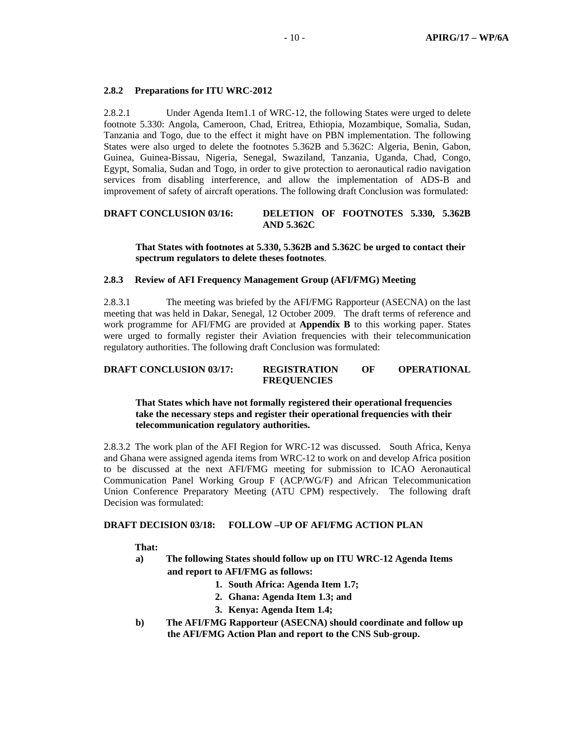### **2.8.2 Preparations for ITU WRC-2012**

2.8.2.1 Under Agenda Item1.1 of WRC-12, the following States were urged to delete footnote 5.330: Angola, Cameroon, Chad, Eritrea, Ethiopia, Mozambique, Somalia, Sudan, Tanzania and Togo, due to the effect it might have on PBN implementation. The following States were also urged to delete the footnotes 5.362B and 5.362C: Algeria, Benin, Gabon, Guinea, Guinea-Bissau, Nigeria, Senegal, Swaziland, Tanzania, Uganda, Chad, Congo, Egypt, Somalia, Sudan and Togo, in order to give protection to aeronautical radio navigation services from disabling interference, and allow the implementation of ADS-B and improvement of safety of aircraft operations. The following draft Conclusion was formulated:

# **DRAFT CONCLUSION 03/16: DELETION OF FOOTNOTES 5.330, 5.362B AND 5.362C**

### **That States with footnotes at 5.330, 5.362B and 5.362C be urged to contact their spectrum regulators to delete theses footnotes**.

### **2.8.3 Review of AFI Frequency Management Group (AFI/FMG) Meeting**

2.8.3.1 The meeting was briefed by the AFI/FMG Rapporteur (ASECNA) on the last meeting that was held in Dakar, Senegal, 12 October 2009. The draft terms of reference and work programme for AFI/FMG are provided at **Appendix B** to this working paper. States were urged to formally register their Aviation frequencies with their telecommunication regulatory authorities. The following draft Conclusion was formulated:

#### **DRAFT CONCLUSION 03/17: REGISTRATION OF OPERATIONAL FREQUENCIES**

# **That States which have not formally registered their operational frequencies take the necessary steps and register their operational frequencies with their telecommunication regulatory authorities.**

2.8.3.2 The work plan of the AFI Region for WRC-12 was discussed. South Africa, Kenya and Ghana were assigned agenda items from WRC-12 to work on and develop Africa position to be discussed at the next AFI/FMG meeting for submission to ICAO Aeronautical Communication Panel Working Group F (ACP/WG/F) and African Telecommunication Union Conference Preparatory Meeting (ATU CPM) respectively. The following draft Decision was formulated:

### **DRAFT DECISION 03/18: FOLLOW –UP OF AFI/FMG ACTION PLAN**

 **That:** 

- **a) The following States should follow up on ITU WRC-12 Agenda Items and report to AFI/FMG as follows:** 
	- **1. South Africa: Agenda Item 1.7;**
	- **2. Ghana: Agenda Item 1.3; and**
	- **3. Kenya: Agenda Item 1.4;**
- **b) The AFI/FMG Rapporteur (ASECNA) should coordinate and follow up the AFI/FMG Action Plan and report to the CNS Sub-group.**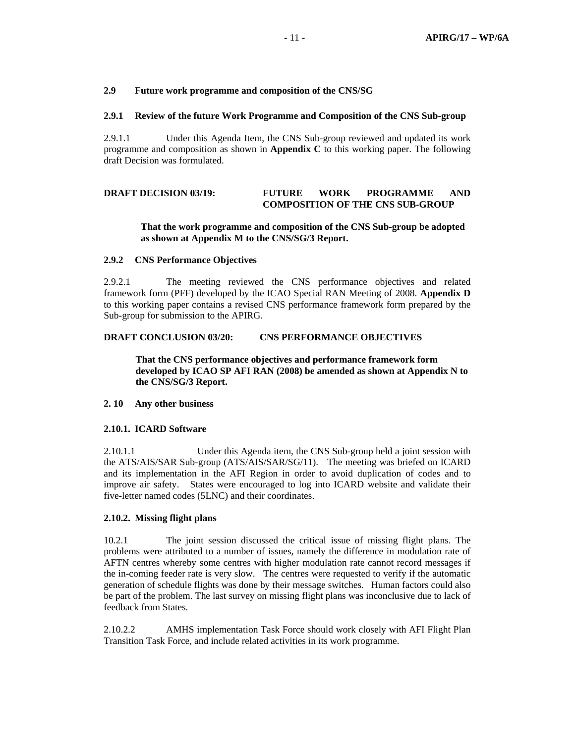### **2.9 Future work programme and composition of the CNS/SG**

### **2.9.1 Review of the future Work Programme and Composition of the CNS Sub-group**

2.9.1.1 Under this Agenda Item, the CNS Sub-group reviewed and updated its work programme and composition as shown in **Appendix C** to this working paper. The following draft Decision was formulated.

# **DRAFT DECISION 03/19: FUTURE WORK PROGRAMME AND COMPOSITION OF THE CNS SUB-GROUP**

# **That the work programme and composition of the CNS Sub-group be adopted as shown at Appendix M to the CNS/SG/3 Report.**

### **2.9.2 CNS Performance Objectives**

2.9.2.1 The meeting reviewed the CNS performance objectives and related framework form (PFF) developed by the ICAO Special RAN Meeting of 2008. **Appendix D** to this working paper contains a revised CNS performance framework form prepared by the Sub-group for submission to the APIRG.

### **DRAFT CONCLUSION 03/20: CNS PERFORMANCE OBJECTIVES**

 **That the CNS performance objectives and performance framework form developed by ICAO SP AFI RAN (2008) be amended as shown at Appendix N to the CNS/SG/3 Report.** 

### **2. 10 Any other business**

### **2.10.1. ICARD Software**

2.10.1.1 Under this Agenda item, the CNS Sub-group held a joint session with the ATS/AIS/SAR Sub-group (ATS/AIS/SAR/SG/11). The meeting was briefed on ICARD and its implementation in the AFI Region in order to avoid duplication of codes and to improve air safety. States were encouraged to log into ICARD website and validate their five-letter named codes (5LNC) and their coordinates.

### **2.10.2. Missing flight plans**

10.2.1 The joint session discussed the critical issue of missing flight plans. The problems were attributed to a number of issues, namely the difference in modulation rate of AFTN centres whereby some centres with higher modulation rate cannot record messages if the in-coming feeder rate is very slow. The centres were requested to verify if the automatic generation of schedule flights was done by their message switches. Human factors could also be part of the problem. The last survey on missing flight plans was inconclusive due to lack of feedback from States.

2.10.2.2 AMHS implementation Task Force should work closely with AFI Flight Plan Transition Task Force, and include related activities in its work programme.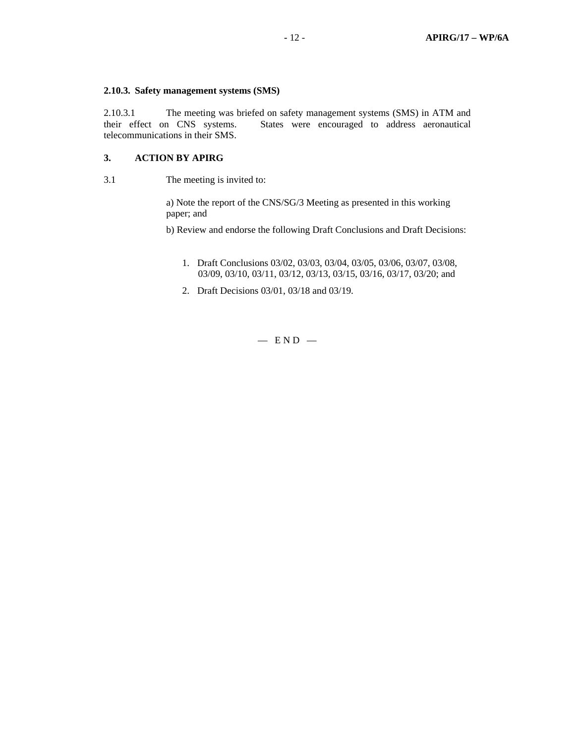### **2.10.3. Safety management systems (SMS)**

2.10.3.1 The meeting was briefed on safety management systems (SMS) in ATM and their effect on CNS systems. States were encouraged to address aeronautical telecommunications in their SMS.

# **3. ACTION BY APIRG**

3.1 The meeting is invited to:

a) Note the report of the CNS/SG/3 Meeting as presented in this working paper; and

b) Review and endorse the following Draft Conclusions and Draft Decisions:

- 1. Draft Conclusions 03/02, 03/03, 03/04, 03/05, 03/06, 03/07, 03/08, 03/09, 03/10, 03/11, 03/12, 03/13, 03/15, 03/16, 03/17, 03/20; and
- 2. Draft Decisions 03/01, 03/18 and 03/19.

 $-$  END  $-$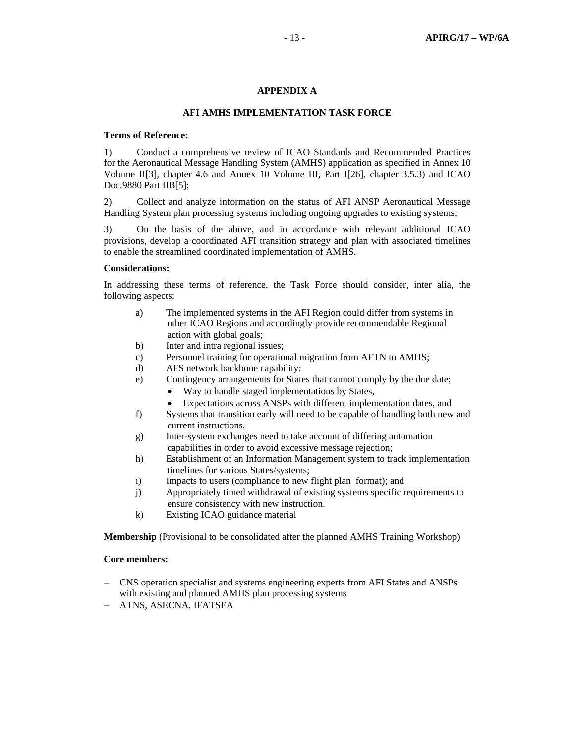# **APPENDIX A**

### **AFI AMHS IMPLEMENTATION TASK FORCE**

### **Terms of Reference:**

1) Conduct a comprehensive review of ICAO Standards and Recommended Practices for the Aeronautical Message Handling System (AMHS) application as specified in Annex 10 Volume II[3], chapter 4.6 and Annex 10 Volume III, Part I[26], chapter 3.5.3) and ICAO Doc.9880 Part IIB[5];

2) Collect and analyze information on the status of AFI ANSP Aeronautical Message Handling System plan processing systems including ongoing upgrades to existing systems;

3) On the basis of the above, and in accordance with relevant additional ICAO provisions, develop a coordinated AFI transition strategy and plan with associated timelines to enable the streamlined coordinated implementation of AMHS.

# **Considerations:**

In addressing these terms of reference, the Task Force should consider, inter alia, the following aspects:

- a) The implemented systems in the AFI Region could differ from systems in other ICAO Regions and accordingly provide recommendable Regional action with global goals;
- b) Inter and intra regional issues;
- c) Personnel training for operational migration from AFTN to AMHS;
- d) AFS network backbone capability;
- e) Contingency arrangements for States that cannot comply by the due date;
	- Way to handle staged implementations by States,
	- Expectations across ANSPs with different implementation dates, and
- f) Systems that transition early will need to be capable of handling both new and current instructions.
- g) Inter-system exchanges need to take account of differing automation capabilities in order to avoid excessive message rejection;
- h) Establishment of an Information Management system to track implementation timelines for various States/systems;
- i) Impacts to users (compliance to new flight plan format); and
- j) Appropriately timed withdrawal of existing systems specific requirements to ensure consistency with new instruction.
- k) Existing ICAO guidance material

**Membership** (Provisional to be consolidated after the planned AMHS Training Workshop)

### **Core members:**

- − CNS operation specialist and systems engineering experts from AFI States and ANSPs with existing and planned AMHS plan processing systems
- − ATNS, ASECNA, IFATSEA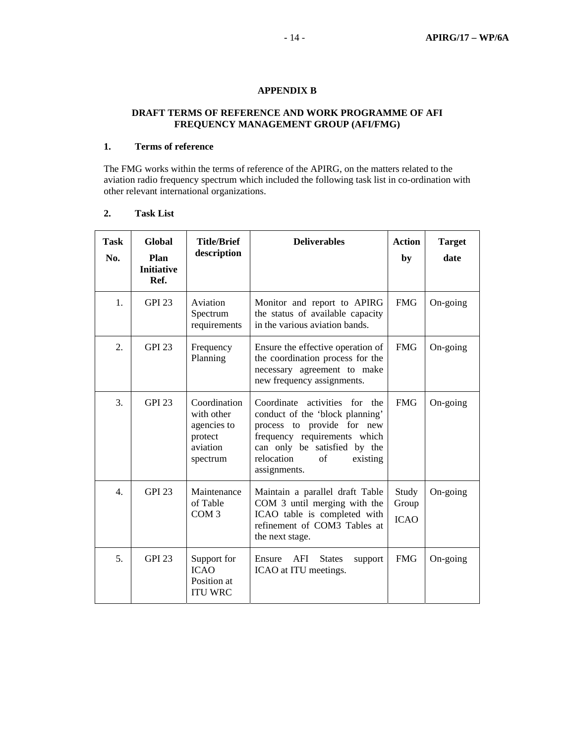# **APPENDIX B**

# **DRAFT TERMS OF REFERENCE AND WORK PROGRAMME OF AFI FREQUENCY MANAGEMENT GROUP (AFI/FMG)**

# **1. Terms of reference**

The FMG works within the terms of reference of the APIRG, on the matters related to the aviation radio frequency spectrum which included the following task list in co-ordination with other relevant international organizations.

# **2. Task List**

| <b>Task</b><br>No. | <b>Global</b><br>Plan<br><b>Initiative</b><br>Ref. | <b>Title/Brief</b><br>description                                            | <b>Deliverables</b>                                                                                                                                                                                               | <b>Action</b><br>by           | <b>Target</b><br>date |
|--------------------|----------------------------------------------------|------------------------------------------------------------------------------|-------------------------------------------------------------------------------------------------------------------------------------------------------------------------------------------------------------------|-------------------------------|-----------------------|
| 1.                 | <b>GPI 23</b>                                      | Aviation<br>Spectrum<br>requirements                                         | Monitor and report to APIRG<br>the status of available capacity<br>in the various aviation bands.                                                                                                                 | <b>FMG</b>                    | $On-going$            |
| 2.                 | <b>GPI 23</b>                                      | Frequency<br>Planning                                                        | Ensure the effective operation of<br>the coordination process for the<br>necessary agreement to make<br>new frequency assignments.                                                                                | <b>FMG</b>                    | On-going              |
| 3.                 | <b>GPI 23</b>                                      | Coordination<br>with other<br>agencies to<br>protect<br>aviation<br>spectrum | Coordinate activities for<br>the<br>conduct of the 'block planning'<br>process to provide for new<br>frequency requirements which<br>can only be satisfied by the<br>relocation<br>of<br>existing<br>assignments. | <b>FMG</b>                    | On-going              |
| 4.                 | <b>GPI 23</b>                                      | Maintenance<br>of Table<br>COM <sub>3</sub>                                  | Maintain a parallel draft Table<br>COM 3 until merging with the<br>ICAO table is completed with<br>refinement of COM3 Tables at<br>the next stage.                                                                | Study<br>Group<br><b>ICAO</b> | On-going              |
| 5.                 | <b>GPI 23</b>                                      | Support for<br><b>ICAO</b><br>Position at<br><b>ITU WRC</b>                  | Ensure<br>AFI<br><b>States</b><br>support<br>ICAO at ITU meetings.                                                                                                                                                | <b>FMG</b>                    | On-going              |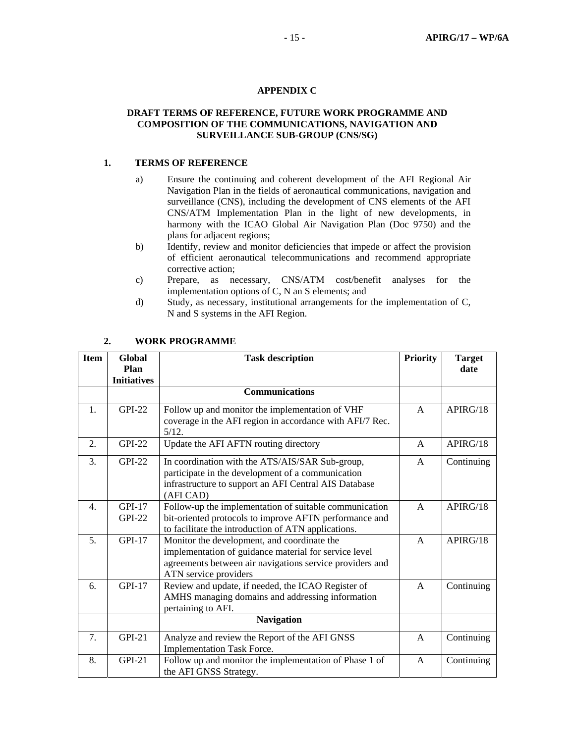# **APPENDIX C**

# **DRAFT TERMS OF REFERENCE, FUTURE WORK PROGRAMME AND COMPOSITION OF THE COMMUNICATIONS, NAVIGATION AND SURVEILLANCE SUB-GROUP (CNS/SG)**

# **1. TERMS OF REFERENCE**

- a) Ensure the continuing and coherent development of the AFI Regional Air Navigation Plan in the fields of aeronautical communications, navigation and surveillance (CNS), including the development of CNS elements of the AFI CNS/ATM Implementation Plan in the light of new developments, in harmony with the ICAO Global Air Navigation Plan (Doc 9750) and the plans for adjacent regions;
- b) Identify, review and monitor deficiencies that impede or affect the provision of efficient aeronautical telecommunications and recommend appropriate corrective action;
- c) Prepare, as necessary, CNS/ATM cost/benefit analyses for the implementation options of C, N an S elements; and
- d) Study, as necessary, institutional arrangements for the implementation of C, N and S systems in the AFI Region.

| <b>Item</b> | <b>Global</b>        | <b>Task description</b>                                                                                                                                                                   |              | <b>Target</b> |
|-------------|----------------------|-------------------------------------------------------------------------------------------------------------------------------------------------------------------------------------------|--------------|---------------|
|             | Plan                 |                                                                                                                                                                                           |              | date          |
|             | <b>Initiatives</b>   |                                                                                                                                                                                           |              |               |
|             |                      | <b>Communications</b>                                                                                                                                                                     |              |               |
| 1.          | <b>GPI-22</b>        | Follow up and monitor the implementation of VHF<br>coverage in the AFI region in accordance with AFI/7 Rec.<br>5/12.                                                                      | $\mathsf{A}$ | APIRG/18      |
| 2.          | <b>GPI-22</b>        | Update the AFI AFTN routing directory                                                                                                                                                     | $\mathsf{A}$ | APIRG/18      |
| 3.          | <b>GPI-22</b>        | In coordination with the ATS/AIS/SAR Sub-group,<br>participate in the development of a communication<br>infrastructure to support an AFI Central AIS Database<br>(AFI CAD)                | A            | Continuing    |
| 4.          | $GPI-17$<br>$GPI-22$ | Follow-up the implementation of suitable communication<br>bit-oriented protocols to improve AFTN performance and<br>to facilitate the introduction of ATN applications.                   | $\mathsf{A}$ | APIRG/18      |
| 5.          | $GPI-17$             | Monitor the development, and coordinate the<br>implementation of guidance material for service level<br>agreements between air navigations service providers and<br>ATN service providers | $\mathsf{A}$ | APIRG/18      |
| 6.          | $GPI-17$             | Review and update, if needed, the ICAO Register of<br>AMHS managing domains and addressing information<br>pertaining to AFI.                                                              | $\mathsf{A}$ | Continuing    |
|             |                      | <b>Navigation</b>                                                                                                                                                                         |              |               |
| 7.          | <b>GPI-21</b>        | Analyze and review the Report of the AFI GNSS<br><b>Implementation Task Force.</b>                                                                                                        | $\mathsf{A}$ | Continuing    |
| 8.          | $GPI-21$             | Follow up and monitor the implementation of Phase 1 of<br>the AFI GNSS Strategy.                                                                                                          | $\mathsf{A}$ | Continuing    |

# **2. WORK PROGRAMME**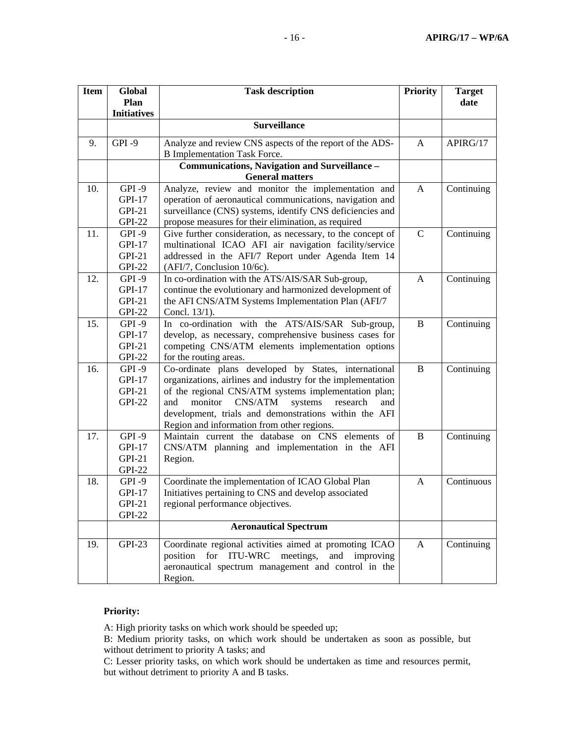| <b>Item</b> | Global             | <b>Task description</b>                                     |              | <b>Target</b> |
|-------------|--------------------|-------------------------------------------------------------|--------------|---------------|
|             | Plan               |                                                             |              | date          |
|             | <b>Initiatives</b> |                                                             |              |               |
|             |                    | <b>Surveillance</b>                                         |              |               |
| 9.          | GPI-9              | Analyze and review CNS aspects of the report of the ADS-    | A            | APIRG/17      |
|             |                    | <b>B</b> Implementation Task Force.                         |              |               |
|             |                    | Communications, Navigation and Surveillance -               |              |               |
|             |                    | <b>General matters</b>                                      |              |               |
| 10.         | $GPI-9$            | Analyze, review and monitor the implementation and          | A            | Continuing    |
|             | GPI-17             | operation of aeronautical communications, navigation and    |              |               |
|             | $GPI-21$           | surveillance (CNS) systems, identify CNS deficiencies and   |              |               |
|             | <b>GPI-22</b>      | propose measures for their elimination, as required         |              |               |
| 11.         | $GPI-9$            | Give further consideration, as necessary, to the concept of | $\mathsf{C}$ | Continuing    |
|             | GPI-17             | multinational ICAO AFI air navigation facility/service      |              |               |
|             | $GPI-21$           | addressed in the AFI/7 Report under Agenda Item 14          |              |               |
|             | <b>GPI-22</b>      | (AFI/7, Conclusion 10/6c).                                  |              |               |
| 12.         | $GPI-9$            | In co-ordination with the ATS/AIS/SAR Sub-group,            | A            | Continuing    |
|             | GPI-17             | continue the evolutionary and harmonized development of     |              |               |
|             | $GPI-21$           | the AFI CNS/ATM Systems Implementation Plan (AFI/7          |              |               |
|             | <b>GPI-22</b>      | Concl. 13/1).                                               |              |               |
| 15.         | GPI-9              | In co-ordination with the ATS/AIS/SAR Sub-group,            | B            | Continuing    |
|             | GPI-17             | develop, as necessary, comprehensive business cases for     |              |               |
|             | $GPI-21$           | competing CNS/ATM elements implementation options           |              |               |
|             | <b>GPI-22</b>      | for the routing areas.                                      |              |               |
| 16.         | GPI-9              | Co-ordinate plans developed by States, international        | B            | Continuing    |
|             | GPI-17             | organizations, airlines and industry for the implementation |              |               |
|             | $GPI-21$           | of the regional CNS/ATM systems implementation plan;        |              |               |
|             | <b>GPI-22</b>      | monitor<br>CNS/ATM<br>systems<br>research<br>and<br>and     |              |               |
|             |                    | development, trials and demonstrations within the AFI       |              |               |
|             |                    | Region and information from other regions.                  |              |               |
| 17.         | $GPI - 9$          | Maintain current the database on CNS elements of            | B            | Continuing    |
|             | GPI-17             | CNS/ATM planning and implementation in the AFI              |              |               |
|             | $GPI-21$           | Region.                                                     |              |               |
|             | <b>GPI-22</b>      |                                                             |              |               |
| 18.         | GPI-9              | Coordinate the implementation of ICAO Global Plan           | A            | Continuous    |
|             | <b>GPI-17</b>      | Initiatives pertaining to CNS and develop associated        |              |               |
|             | $GPI-21$           | regional performance objectives.                            |              |               |
|             | <b>GPI-22</b>      |                                                             |              |               |
|             |                    | <b>Aeronautical Spectrum</b>                                |              |               |
| 19.         | <b>GPI-23</b>      | Coordinate regional activities aimed at promoting ICAO      | A            | Continuing    |
|             |                    | position for ITU-WRC meetings,<br>and improving             |              |               |
|             |                    | aeronautical spectrum management and control in the         |              |               |
|             |                    | Region.                                                     |              |               |

# **Priority:**

A: High priority tasks on which work should be speeded up;

B: Medium priority tasks, on which work should be undertaken as soon as possible, but without detriment to priority A tasks; and

C: Lesser priority tasks, on which work should be undertaken as time and resources permit, but without detriment to priority A and B tasks.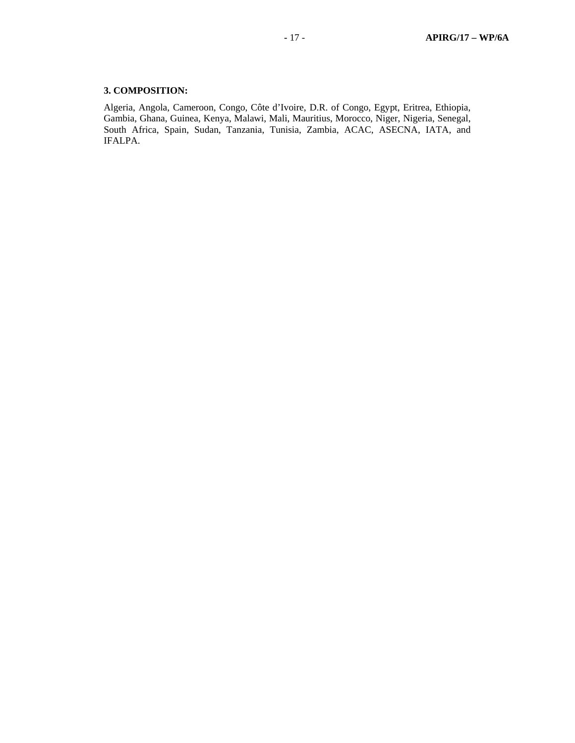# **3. COMPOSITION:**

Algeria, Angola, Cameroon, Congo, Côte d'Ivoire, D.R. of Congo, Egypt, Eritrea, Ethiopia, Gambia, Ghana, Guinea, Kenya, Malawi, Mali, Mauritius, Morocco, Niger, Nigeria, Senegal, South Africa, Spain, Sudan, Tanzania, Tunisia, Zambia, ACAC, ASECNA, IATA, and IFALPA.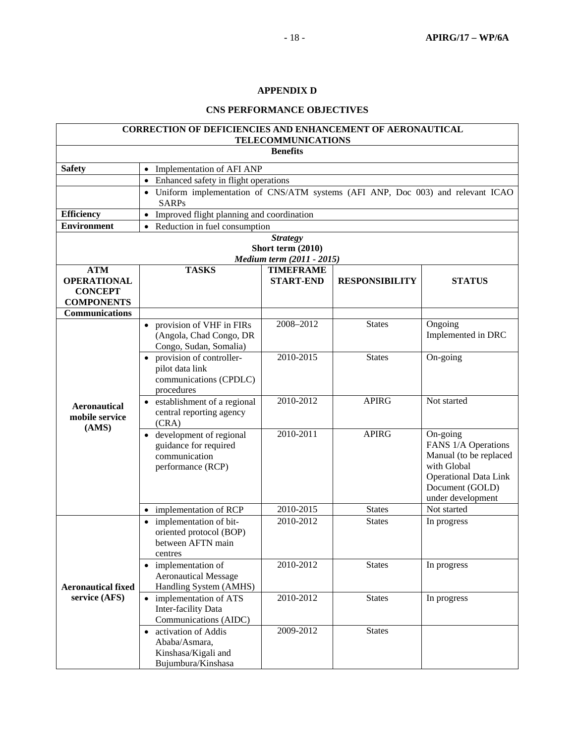# **APPENDIX D**

# **CNS PERFORMANCE OBJECTIVES**

|                                                                         | <b>CORRECTION OF DEFICIENCIES AND ENHANCEMENT OF AERONAUTICAL</b>                                | <b>TELECOMMUNICATIONS</b>                                         |                       |                                                                                                                                                  |  |
|-------------------------------------------------------------------------|--------------------------------------------------------------------------------------------------|-------------------------------------------------------------------|-----------------------|--------------------------------------------------------------------------------------------------------------------------------------------------|--|
|                                                                         |                                                                                                  | <b>Benefits</b>                                                   |                       |                                                                                                                                                  |  |
| <b>Safety</b>                                                           | • Implementation of AFI ANP                                                                      |                                                                   |                       |                                                                                                                                                  |  |
|                                                                         | • Enhanced safety in flight operations                                                           |                                                                   |                       |                                                                                                                                                  |  |
|                                                                         | • Uniform implementation of CNS/ATM systems (AFI ANP, Doc 003) and relevant ICAO<br><b>SARPs</b> |                                                                   |                       |                                                                                                                                                  |  |
| <b>Efficiency</b>                                                       | Improved flight planning and coordination<br>$\bullet$                                           |                                                                   |                       |                                                                                                                                                  |  |
| <b>Environment</b>                                                      | Reduction in fuel consumption                                                                    |                                                                   |                       |                                                                                                                                                  |  |
|                                                                         |                                                                                                  | <b>Strategy</b><br>Short term (2010)<br>Medium term (2011 - 2015) |                       |                                                                                                                                                  |  |
| <b>ATM</b><br><b>OPERATIONAL</b><br><b>CONCEPT</b><br><b>COMPONENTS</b> | <b>TASKS</b>                                                                                     | <b>TIMEFRAME</b><br><b>START-END</b>                              | <b>RESPONSIBILITY</b> | <b>STATUS</b>                                                                                                                                    |  |
| <b>Communications</b>                                                   |                                                                                                  |                                                                   |                       |                                                                                                                                                  |  |
|                                                                         | • provision of VHF in FIRs<br>(Angola, Chad Congo, DR<br>Congo, Sudan, Somalia)                  | 2008-2012                                                         | <b>States</b>         | Ongoing<br>Implemented in DRC                                                                                                                    |  |
|                                                                         | provision of controller-<br>$\bullet$<br>pilot data link<br>communications (CPDLC)<br>procedures | 2010-2015                                                         | <b>States</b>         | On-going                                                                                                                                         |  |
| <b>Aeronautical</b><br>mobile service<br>(AMS)                          | establishment of a regional<br>central reporting agency<br>(CRA)                                 | 2010-2012                                                         | <b>APIRG</b>          | Not started                                                                                                                                      |  |
|                                                                         | development of regional<br>guidance for required<br>communication<br>performance (RCP)           | 2010-2011                                                         | <b>APIRG</b>          | On-going<br>FANS 1/A Operations<br>Manual (to be replaced<br>with Global<br><b>Operational Data Link</b><br>Document (GOLD)<br>under development |  |
|                                                                         | implementation of RCP                                                                            | 2010-2015                                                         | <b>States</b>         | Not started                                                                                                                                      |  |
|                                                                         | implementation of bit-<br>$\bullet$<br>oriented protocol (BOP)<br>between AFTN main<br>centres   | 2010-2012                                                         | <b>States</b>         | In progress                                                                                                                                      |  |
| <b>Aeronautical fixed</b>                                               | • implementation of<br><b>Aeronautical Message</b><br>Handling System (AMHS)                     | 2010-2012                                                         | <b>States</b>         | In progress                                                                                                                                      |  |
| service (AFS)                                                           | • implementation of ATS<br>Inter-facility Data<br>Communications (AIDC)                          | 2010-2012                                                         | <b>States</b>         | In progress                                                                                                                                      |  |
|                                                                         | • activation of Addis<br>Ababa/Asmara,<br>Kinshasa/Kigali and<br>Bujumbura/Kinshasa              | 2009-2012                                                         | <b>States</b>         |                                                                                                                                                  |  |